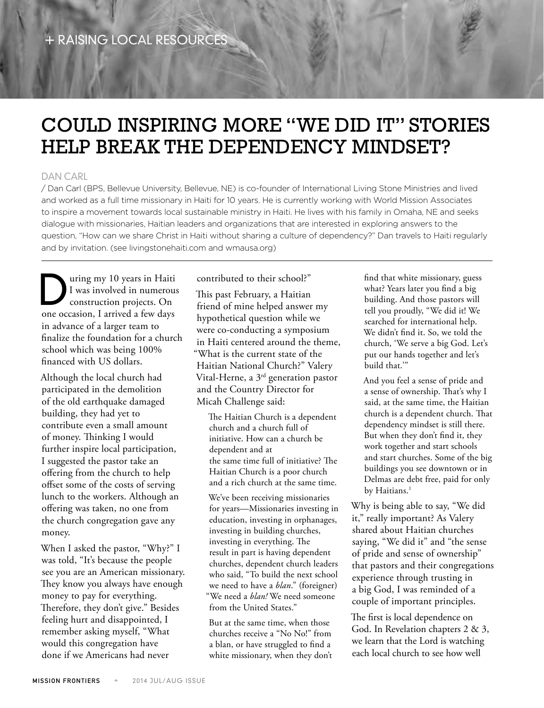## Could Inspiring More "We did it" Stories Help Break the Dependency Mindset?

## DAN CARL

/ Dan Carl (BPS, Bellevue University, Bellevue, NE) is co-founder of International Living Stone Ministries and lived and worked as a full time missionary in Haiti for 10 years. He is currently working with World Mission Associates to inspire a movement towards local sustainable ministry in Haiti. He lives with his family in Omaha, NE and seeks dialogue with missionaries, Haitian leaders and organizations that are interested in exploring answers to the question, "How can we share Christ in Haiti without sharing a culture of dependency?" Dan travels to Haiti regularly and by invitation. (see livingstonehaiti.com and wmausa.org)

I was involved in numerous<br>
I was involved in numerous<br>
construction projects. On I was involved in numerous construction projects. On one occasion, I arrived a few days in advance of a larger team to finalize the foundation for a church school which was being 100% financed with US dollars.

Although the local church had participated in the demolition of the old earthquake damaged building, they had yet to contribute even a small amount of money. Thinking I would further inspire local participation, I suggested the pastor take an offering from the church to help offset some of the costs of serving lunch to the workers. Although an offering was taken, no one from the church congregation gave any money.

When I asked the pastor, "Why?" I was told, "It's because the people see you are an American missionary. They know you always have enough money to pay for everything. Therefore, they don't give." Besides feeling hurt and disappointed, I remember asking myself, "What would this congregation have done if we Americans had never

contributed to their school?"

This past February, a Haitian friend of mine helped answer my hypothetical question while we were co-conducting a symposium in Haiti centered around the theme, "What is the current state of the Haitian National Church?" Valery Vital-Herne, a 3rd generation pastor and the Country Director for Micah Challenge said:

The Haitian Church is a dependent church and a church full of initiative. How can a church be dependent and at the same time full of initiative? The Haitian Church is a poor church and a rich church at the same time.

We've been receiving missionaries for years—Missionaries investing in education, investing in orphanages, investing in building churches, investing in everything. The result in part is having dependent churches, dependent church leaders who said, "To build the next school we need to have a *blan*." (foreigner) "We need a *blan!* We need someone from the United States."

But at the same time, when those churches receive a "No No!" from a blan, or have struggled to find a white missionary, when they don't find that white missionary, guess what? Years later you find a big building. And those pastors will tell you proudly, "We did it! We searched for international help. We didn't find it. So, we told the church, 'We serve a big God. Let's put our hands together and let's build that.'"

And you feel a sense of pride and a sense of ownership. That's why I said, at the same time, the Haitian church is a dependent church. That dependency mindset is still there. But when they don't find it, they work together and start schools and start churches. Some of the big buildings you see downtown or in Delmas are debt free, paid for only by Haitians.<sup>1</sup>

Why is being able to say, "We did it," really important? As Valery shared about Haitian churches saying, "We did it" and "the sense of pride and sense of ownership" that pastors and their congregations experience through trusting in a big God, I was reminded of a couple of important principles.

The first is local dependence on God. In Revelation chapters 2 & 3, we learn that the Lord is watching each local church to see how well